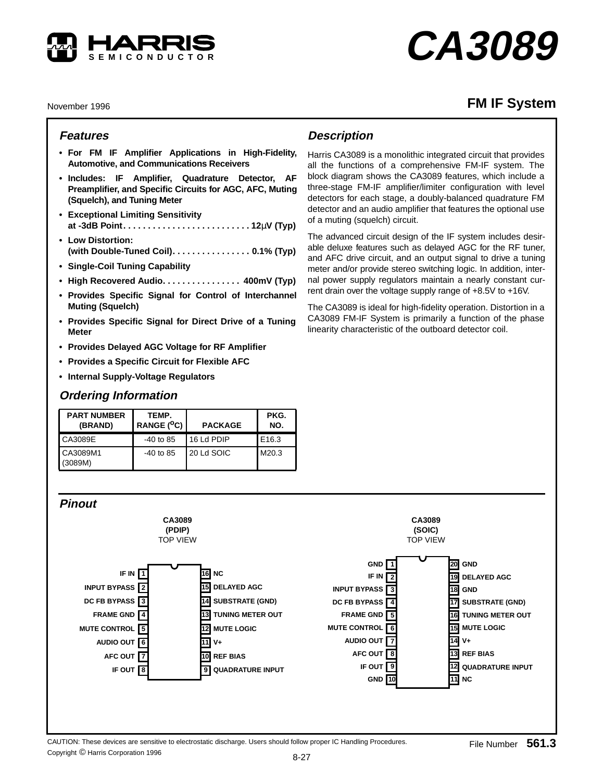

# **CA3089**

November 1996

## **FM IF System**

### **Features**

- **For FM IF Amplifier Applications in High-Fidelity, Automotive, and Communications Receivers**
- **Includes: IF Amplifier, Quadrature Detector, AF Preamplifier, and Specific Circuits for AGC, AFC, Muting (Squelch), and Tuning Meter**
- **Exceptional Limiting Sensitivity at -3dB Point. . . . . . . . . . . . . . . . . . . . . . . . . . 12**µ**V (Typ)**
- **Low Distortion: (with Double-Tuned Coil). . . . . . . . . . . . . . . . 0.1% (Typ)**
- **Single-Coil Tuning Capability**
- **High Recovered Audio. . . . . . . . . . . . . . . . 400mV (Typ)**
- **Provides Specific Signal for Control of Interchannel Muting (Squelch)**
- **Provides Specific Signal for Direct Drive of a Tuning Meter**
- **Provides Delayed AGC Voltage for RF Amplifier**
- **Provides a Specific Circuit for Flexible AFC**
- **Internal Supply-Voltage Regulators**

## **Ordering Information**

| <b>PART NUMBER</b><br>(BRAND) | TEMP.<br>RANGE $(^{\circ}C)$ | <b>PACKAGE</b> | PKG.<br>NO. |  |
|-------------------------------|------------------------------|----------------|-------------|--|
| CA3089E                       | $-40$ to 85                  | 16 Ld PDIP     | E16.3       |  |
| CA3089M1<br>(3089M)           | $-40$ to 85                  | 20 Ld SOIC     | M20.3       |  |

## **Description**

Harris CA3089 is a monolithic integrated circuit that provides all the functions of a comprehensive FM-IF system. The block diagram shows the CA3089 features, which include a three-stage FM-IF amplifier/limiter configuration with level detectors for each stage, a doubly-balanced quadrature FM detector and an audio amplifier that features the optional use of a muting (squelch) circuit.

The advanced circuit design of the IF system includes desirable deluxe features such as delayed AGC for the RF tuner, and AFC drive circuit, and an output signal to drive a tuning meter and/or provide stereo switching logic. In addition, internal power supply regulators maintain a nearly constant current drain over the voltage supply range of +8.5V to +16V.

The CA3089 is ideal for high-fidelity operation. Distortion in a CA3089 FM-IF System is primarily a function of the phase linearity characteristic of the outboard detector coil.



Copyright © Harris Corporation 1996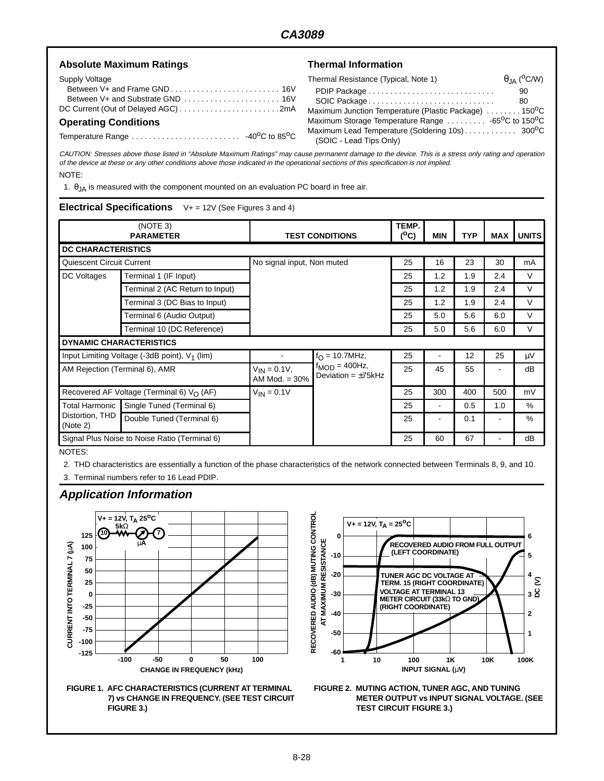| <b>Absolute Maximum Ratings</b> | <b>Thermal Information</b>                                                    |  |  |  |  |
|---------------------------------|-------------------------------------------------------------------------------|--|--|--|--|
| Supply Voltage                  | $\theta_{\rm JA}$ ( <sup>O</sup> C/W)<br>Thermal Resistance (Typical, Note 1) |  |  |  |  |
|                                 | PDIP Package<br>90<br>SOIC Package<br>80                                      |  |  |  |  |
|                                 | Maximum Junction Temperature (Plastic Package)  150 <sup>o</sup> C            |  |  |  |  |
| <b>Operating Conditions</b>     | Maximum Storage Temperature Range  -65 <sup>o</sup> C to 150 <sup>o</sup> C   |  |  |  |  |
|                                 | (SOIC - Lead Tips Only)                                                       |  |  |  |  |

CAUTION: Stresses above those listed in "Absolute Maximum Ratings" may cause permanent damage to the device. This is a stress only rating and operation of the device at these or any other conditions above those indicated in the operational sections of this specification is not implied. NOTE:

1.  $\theta_{JA}$  is measured with the component mounted on an evaluation PC board in free air.

#### **Electrical Specifications** V+ = 12V (See Figures 3 and 4)

| (NOTE 3)<br><b>PARAMETER</b>                              |                                 | <b>TEST CONDITIONS</b>                |                                                                             | TEMP.<br>$(^oC)$ | <b>MIN</b>     | <b>TYP</b> | MAX            | <b>UNITS</b> |
|-----------------------------------------------------------|---------------------------------|---------------------------------------|-----------------------------------------------------------------------------|------------------|----------------|------------|----------------|--------------|
| <b>DC CHARACTERISTICS</b>                                 |                                 |                                       |                                                                             |                  |                |            |                |              |
| Quiescent Circuit Current                                 |                                 | No signal input, Non muted            |                                                                             | 25               | 16             | 23         | 30             | mA           |
| DC Voltages                                               | Terminal 1 (IF Input)           |                                       |                                                                             | 25               | 1.2            | 1.9        | 2.4            | V            |
|                                                           | Terminal 2 (AC Return to Input) |                                       |                                                                             | 25               | 1.2            | 1.9        | 2.4            | $\vee$       |
|                                                           | Terminal 3 (DC Bias to Input)   |                                       |                                                                             | 25               | 1.2            | 1.9        | 2.4            | V            |
|                                                           | Terminal 6 (Audio Output)       |                                       |                                                                             | 25               | 5.0            | 5.6        | 6.0            | V            |
|                                                           | Terminal 10 (DC Reference)      |                                       |                                                                             | 25               | 5.0            | 5.6        | 6.0            | $\vee$       |
| <b>DYNAMIC CHARACTERISTICS</b>                            |                                 |                                       |                                                                             |                  |                |            |                |              |
| Input Limiting Voltage (-3dB point), V <sub>1</sub> (lim) |                                 |                                       | $f_{\bigcap}$ = 10.7MHz,<br>$f_{MOD} = 400 Hz$ ,<br>Deviation = $\pm$ 75kHz | 25               |                | 12         | 25             | μV           |
| AM Rejection (Terminal 6), AMR                            |                                 | $V_{IN} = 0.1 V,$<br>AM Mod. $= 30\%$ |                                                                             | 25               | 45             | 55         |                | dB           |
| Recovered AF Voltage (Terminal 6) $V_O$ (AF)              |                                 | $V_{IN} = 0.1V$                       |                                                                             | 25               | 300            | 400        | 500            | mV           |
| <b>Total Harmonic</b><br>Distortion, THD<br>(Note 2)      | Single Tuned (Terminal 6)       |                                       |                                                                             | 25               | $\blacksquare$ | 0.5        | 1.0            | %            |
|                                                           | Double Tuned (Terminal 6)       |                                       |                                                                             | 25               |                | 0.1        | $\blacksquare$ | $\%$         |
| Signal Plus Noise to Noise Ratio (Terminal 6)             |                                 |                                       |                                                                             | 25               | 60             | 67         |                | dB           |

NOTES:

2. THD characteristics are essentially a function of the phase characteristics of the network connected between Terminals 8, 9, and 10.

3. Terminal numbers refer to 16 Lead PDIP.

#### **Application Information**







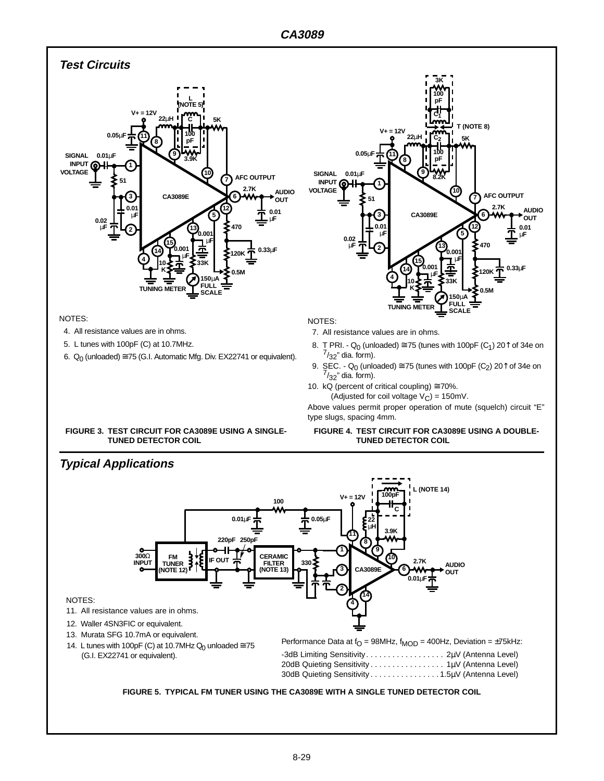

#### NOTES:

- 4. All resistance values are in ohms.
- 5. L tunes with 100pF (C) at 10.7MHz.
- 6.  $Q_0$  (unloaded)  $\cong$  75 (G.I. Automatic Mfg. Div. EX22741 or equivalent).

NOTES:

7. All resistance values are in ohms.

**2**

**0.02** µ**F**

**3 0.01** µ**F**

**51 1**

 $0.05$ µ

8. T PRI. - Q<sub>0</sub> (unloaded)  $\cong$  75 (tunes with 100pF (C<sub>1</sub>) 20<sup> $\uparrow$ </sup> of 34e on  $\frac{7}{32}$ " dia. form).

**14 4**

**8**

**V+ = 12V**

**22**µ**H 5K**

**9**

**CA3089E**

**TUNING** 

**10 K** **15**

**0.001** µ**F** **13**

**8.2K**

**100 C2**

**C1**

**100 pF**

**3K**

**pF**

**33K**

**FULL 150**µ**A SCALE**

**0.001** µ**F**

**10**

**5 12** **6**

**7**

**T (NOTE 8)**

**2.7K**

**AFC OUTPUT**

**0.5M**

**120K**

**470**

**AUDIO OUT** 

**0.01** µ**F**

**0.33**µ**F**

- 9. SEC. Q<sub>0</sub> (unloaded)  $\cong$  75 (tunes with 100pF (C<sub>2</sub>) 20<sup> $\uparrow$ </sup> of 34e on  $^{7}/_{32}$ " dia. form).
- 10. kQ (percent of critical coupling)  $\approx$  70%.
	- (Adjusted for coil voltage  $V_C$ ) = 150mV.

Above values permit proper operation of mute (squelch) circuit "E" type slugs, spacing 4mm.

#### **FIGURE 3. TEST CIRCUIT FOR CA3089E USING A SINGLE-TUNED DETECTOR COIL**

#### **FIGURE 4. TEST CIRCUIT FOR CA3089E USING A DOUBLE-TUNED DETECTOR COIL**

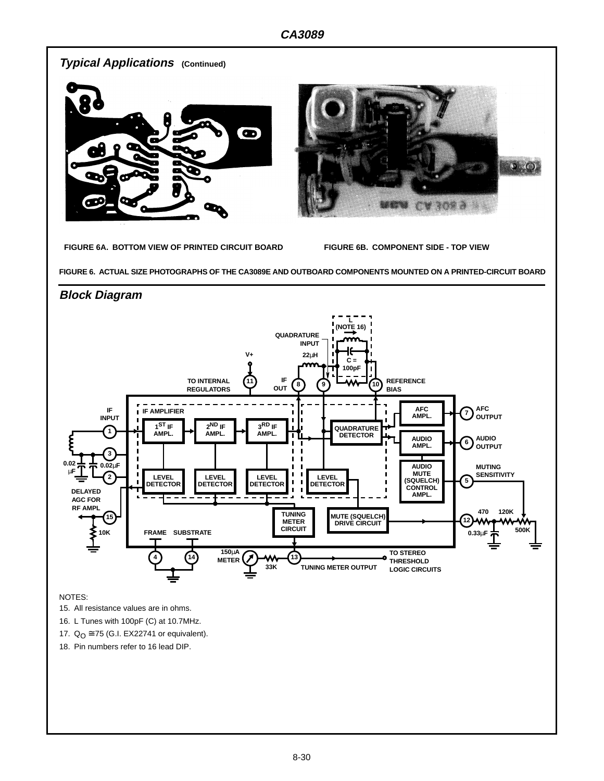

18. Pin numbers refer to 16 lead DIP.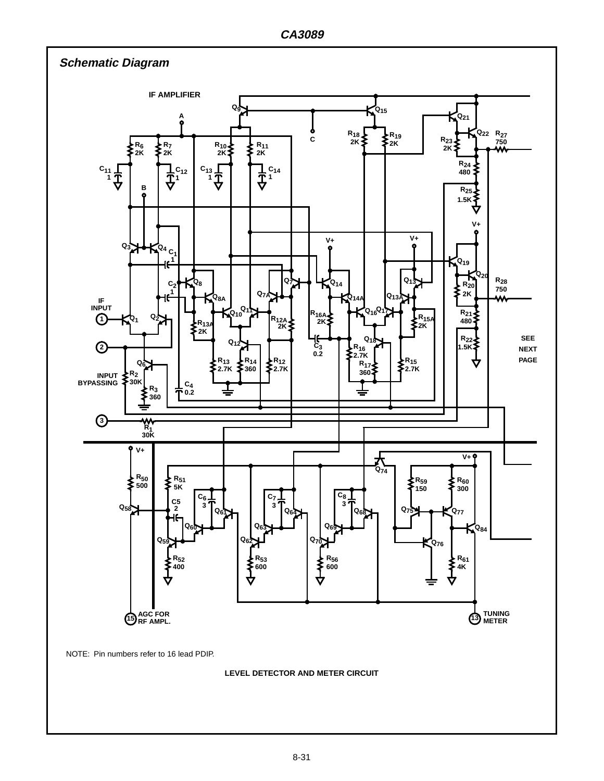